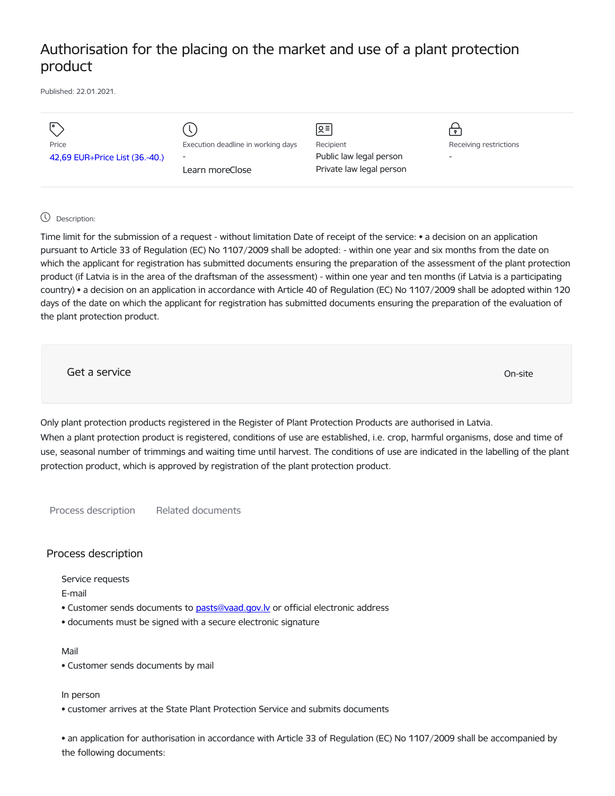# Authorisation for the placing on the market and use of a plant protection product

Published: 22.01.2021.

|                                |                                    | 오틔                       | $\bullet$                |
|--------------------------------|------------------------------------|--------------------------|--------------------------|
| Price                          | Execution deadline in working days | Recipient                | Receiving restrictions   |
| 42,69 EUR+Price List (36.-40.) | $\overline{\phantom{a}}$           | Public law legal person  | $\overline{\phantom{0}}$ |
|                                | Learn moreClose                    | Private law legal person |                          |
|                                |                                    |                          |                          |

## Description:

Time limit for the submission of a request - without limitation Date of receipt of the service: • a decision on an application pursuant to Article 33 of Regulation (EC) No 1107/2009 shall be adopted: - within one year and six months from the date on which the applicant for registration has submitted documents ensuring the preparation of the assessment of the plant protection product (if Latvia is in the area of the draftsman of the assessment) - within one year and ten months (if Latvia is a participating country) • a decision on an application in accordance with Article 40 of Regulation (EC) No 1107/2009 shall be adopted within 120 days of the date on which the applicant for registration has submitted documents ensuring the preparation of the evaluation of the plant protection product.

Get a service only a structure of the contract of the contract of the contract of the contract of the contract of the contract of the contract of the contract of the contract of the contract of the contract of the contract

Only plant protection products registered in the Register of Plant Protection Products are authorised in Latvia. When a plant protection product is registered, conditions of use are established, i.e. crop, harmful organisms, dose and time of use, seasonal number of trimmings and waiting time until harvest. The conditions of use are indicated in the labelling of the plant protection product, which is approved by registration of the plant protection product.

Process description Related documents

### Process description

Service requests

E-mail

- Customer sends documents to pasts@vaad.gov.ly or official electronic address
- documents must be signed with a secure electronic signature

#### Mail

• Customer sends documents by mail

In person

• customer arrives at the State Plant Protection Service and submits documents

• an application for authorisation in accordance with Article 33 of Regulation (EC) No 1107/2009 shall be accompanied by the following documents: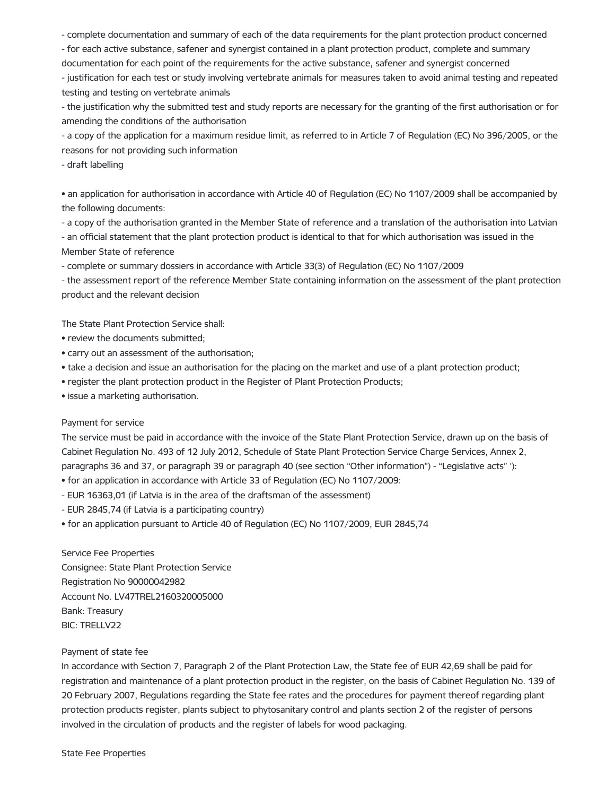- complete documentation and summary of each of the data requirements for the plant protection product concerned

- for each active substance, safener and synergist contained in a plant protection product, complete and summary

documentation for each point of the requirements for the active substance, safener and synergist concerned

- justification for each test or study involving vertebrate animals for measures taken to avoid animal testing and repeated testing and testing on vertebrate animals

- the justification why the submitted test and study reports are necessary for the granting of the first authorisation or for amending the conditions of the authorisation

- a copy of the application for a maximum residue limit, as referred to in Article 7 of Regulation (EC) No 396/2005, or the reasons for not providing such information

- draft labelling

• an application for authorisation in accordance with Article 40 of Regulation (EC) No 1107/2009 shall be accompanied by the following documents:

- a copy of the authorisation granted in the Member State of reference and a translation of the authorisation into Latvian - an official statement that the plant protection product is identical to that for which authorisation was issued in the Member State of reference

- complete or summary dossiers in accordance with Article 33(3) of Regulation (EC) No 1107/2009

- the assessment report of the reference Member State containing information on the assessment of the plant protection product and the relevant decision

The State Plant Protection Service shall:

- review the documents submitted;
- carry out an assessment of the authorisation;
- take a decision and issue an authorisation for the placing on the market and use of a plant protection product;
- register the plant protection product in the Register of Plant Protection Products;

• issue a marketing authorisation.

#### Payment for service

The service must be paid in accordance with the invoice of the State Plant Protection Service, drawn up on the basis of Cabinet Regulation No. 493 of 12 July 2012, Schedule of State Plant Protection Service Charge Services, Annex 2, paragraphs 36 and 37, or paragraph 39 or paragraph 40 (see section "Other information") - "Legislative acts" '):

- for an application in accordance with Article 33 of Regulation (EC) No 1107/2009:
- EUR 16363,01 (if Latvia is in the area of the draftsman of the assessment)
- EUR 2845,74 (if Latvia is a participating country)
- for an application pursuant to Article 40 of Regulation (EC) No 1107/2009, EUR 2845,74

Service Fee Properties Consignee: State Plant Protection Service Registration No 90000042982 Account No. LV47TREL2160320005000 Bank: Treasury BIC: TRELLV22

#### Payment of state fee

In accordance with Section 7, Paragraph 2 of the Plant Protection Law, the State fee of EUR 42,69 shall be paid for registration and maintenance of a plant protection product in the register, on the basis of Cabinet Regulation No. 139 of 20 February 2007, Regulations regarding the State fee rates and the procedures for payment thereof regarding plant protection products register, plants subject to phytosanitary control and plants section 2 of the register of persons involved in the circulation of products and the register of labels for wood packaging.